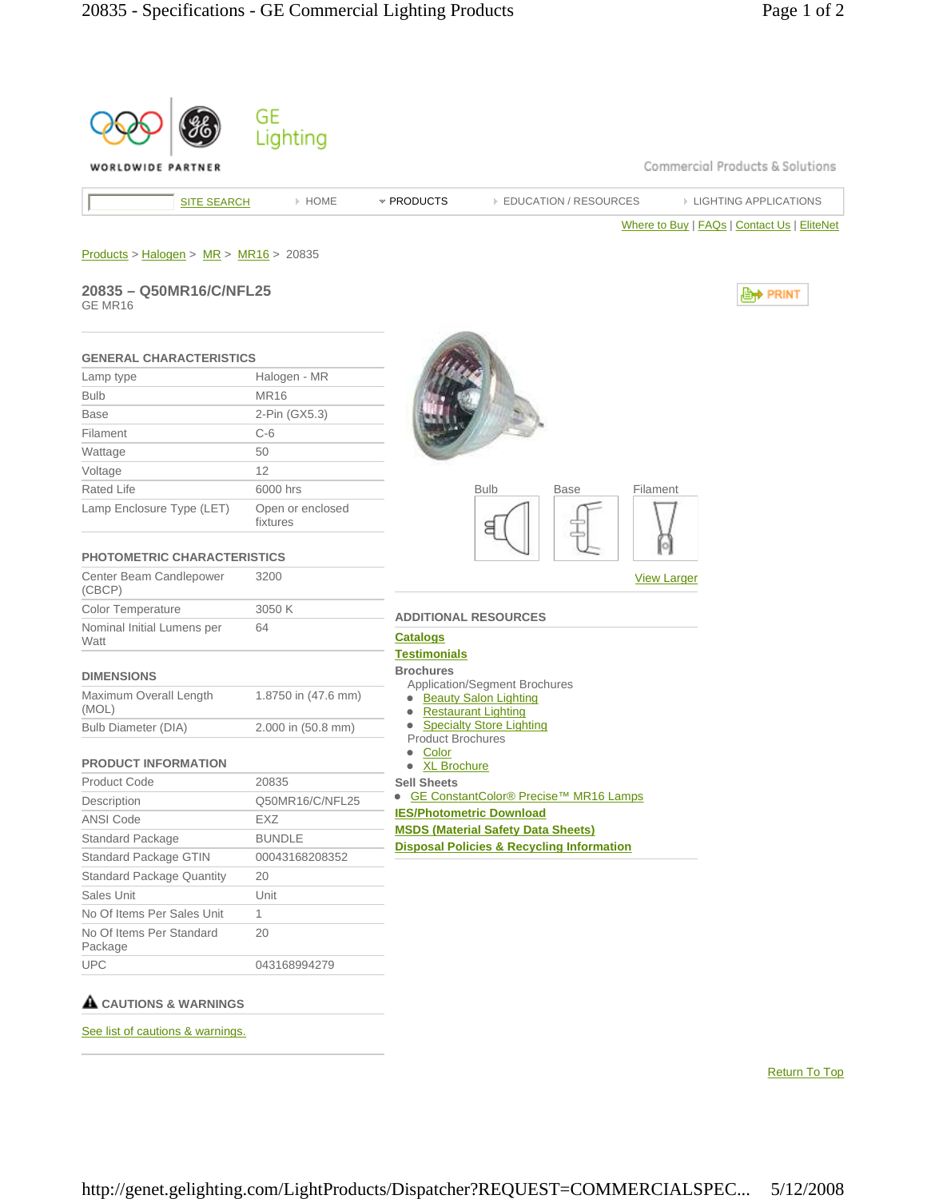| WORLDWIDE PARTNER                        |                              | Commercial Products & Solutions                                                      |
|------------------------------------------|------------------------------|--------------------------------------------------------------------------------------|
| <b>SITE SEARCH</b>                       | > HOME                       | * PRODUCTS<br><b>EDUCATION / RESOURCES</b><br><b>EIGHTING APPLICATIONS</b>           |
|                                          |                              | Where to Buy   FAQs   Contact Us   EliteNet                                          |
|                                          |                              |                                                                                      |
| $Products > Halogen > MR > MR16 > 20835$ |                              |                                                                                      |
| 20835 - Q50MR16/C/NFL25                  |                              | , PRINT                                                                              |
| GE MR16                                  |                              |                                                                                      |
| <b>GENERAL CHARACTERISTICS</b>           |                              |                                                                                      |
| Lamp type                                | Halogen - MR                 |                                                                                      |
| <b>Bulb</b>                              | <b>MR16</b>                  |                                                                                      |
| <b>Base</b>                              | 2-Pin (GX5.3)                |                                                                                      |
| Filament                                 | $C-6$                        |                                                                                      |
| Wattage                                  | 50                           |                                                                                      |
| Voltage                                  | 12                           |                                                                                      |
| Rated Life                               | 6000 hrs                     | <b>Bulb</b><br>Filament<br>Base                                                      |
| Lamp Enclosure Type (LET)                | Open or enclosed<br>fixtures | 9                                                                                    |
| <b>PHOTOMETRIC CHARACTERISTICS</b>       |                              |                                                                                      |
| Center Beam Candlepower<br>(CBCP)        | 3200                         | <b>View Larger</b>                                                                   |
| <b>Color Temperature</b>                 | 3050 K                       |                                                                                      |
| Nominal Initial Lumens per<br>Watt       | 64                           | <b>ADDITIONAL RESOURCES</b><br><b>Catalogs</b>                                       |
|                                          |                              | <b>Testimonials</b><br><b>Brochures</b>                                              |
| <b>DIMENSIONS</b>                        |                              | Application/Segment Brochures                                                        |
| Maximum Overall Length<br>(MOL)          | 1.8750 in (47.6 mm)          | <b>Beauty Salon Lighting</b><br>$\bullet$<br><b>Restaurant Lighting</b><br>$\bullet$ |
| <b>Bulb Diameter (DIA)</b>               | 2.000 in (50.8 mm)           | • Specialty Store Lighting                                                           |
|                                          |                              | <b>Product Brochures</b><br>Color<br>$\bullet$                                       |
| <b>PRODUCT INFORMATION</b>               |                              | · XL Brochure                                                                        |
| <b>Product Code</b>                      | 20835                        | <b>Sell Sheets</b>                                                                   |
| Description                              | Q50MR16/C/NFL25              | GE ConstantColor® Precise™ MR16 Lamps<br><b>IES/Photometric Download</b>             |
| ANSI Code                                | EXZ                          | <b>MSDS (Material Safety Data Sheets)</b>                                            |
| Standard Package                         | <b>BUNDLE</b>                | <b>Disposal Policies &amp; Recycling Information</b>                                 |
| Standard Package GTIN                    | 00043168208352               |                                                                                      |
| <b>Standard Package Quantity</b>         | 20                           |                                                                                      |
| Sales Unit                               | Unit                         |                                                                                      |
| No Of Items Per Sales Unit               | 1                            |                                                                                      |
| No Of Items Per Standard<br>Package      | 20                           |                                                                                      |
|                                          |                              |                                                                                      |

See list of cautions & warnings.

Return To Top